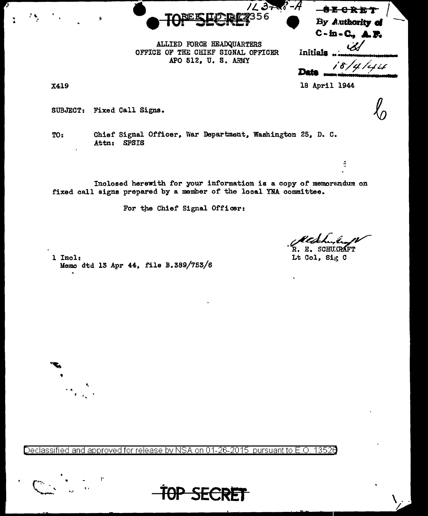

By Authority of  $C - in - C$ , A.F.

<del>-82 C R E T</del>

ALLIED FORCE HEADQUARTERS OFFICE OF THE CHIEF SIGNAL OFFICER APO 512, U. S. ARMY

18/4/44 Data

÷.

18 April 1944

Initials

**X419** 

**SUBJECT:** Fixed Call Signs.

Chief Signal Officer, War Department, Washington 25, D. C. TO: Attn: SPSIS

Inclosed herewith for your information is a copy of memorandum on fixed call signs prepared by a member of the local YNA committee.

For the Chief Signal Officer:

R. **SCHU (RAFT** 

Lt Col. Sig C

1 Incl: Memo dtd 13 Apr 44, file B.389/753/6

Declassified and approved for release by NSA on 01-26-2015 pursuant to E.O. 13526



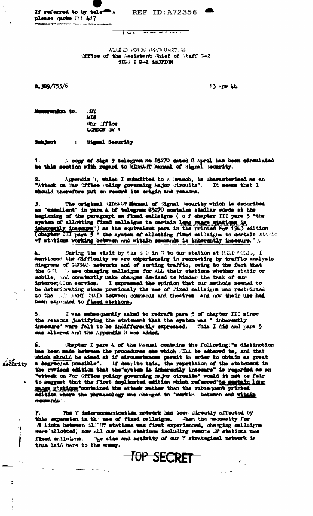| If referred to by tele $\blacksquare$ |  |  |
|---------------------------------------|--|--|
| please quote FFF 447                  |  |  |

**REF ID: A72356** 

 $\overline{\mathbf{w}}$  and  $\overline{\mathbf{w}}$  and  $\overline{\mathbf{w}}$ 

**ALLIED FORDS HAAD UNRTGEL** Office of the Assistant Chief of Staff G-2 SIDG I G-2 SSOTION

ज्ञ

 $2.399/753/6$ 

13 Арт 44

| . TIY       |
|-------------|
| <b>MTR</b>  |
| Mar Union   |
| LONDON JW 1 |
|             |

Subject : Signal Socurity

A copy of Siga 9 telegrem No 85270 dated 8 April has been circulated to this section with regard to MINAST Manual of Signal Security.

2. Appendix B, which I submitted to X Branch, is characterised as an "Attack on War Office Policy governing Major Uirouits". It seems that I should therefore put on record its origin and reasons.

The original MIRMAT Marmal of Migral Moourity which is decoribed 3. as "excellent" in para 4 of telegram 85270 contains similar words at the beginning of the paragraph on fixed callsigns ( o f chapter III para 5 "the system of allotting fixed callaigns to certain long range stations is<br>inherently imaggers") as the equivalent para in the printed Nov 1943 edition<br>(chapter III para 3 " the system of allotting fixed callaigns to certain st

During the visit by the 3.0 in 9 to our station at HMM (MAL, I mentioned the difficulty we are experiencing in recreating by traffic analysis diagress of GSBAS: networks and of sorting traffic, owing to the fact that the GSR. In use changing callsigns for Ald their stations whether static or mobile, and constantly make changes deviaed to hinder the task of our interception service. I expressed the opinion that our methods sexued to be deteriorating since previously the use of fixed callaigns was restricted to been expunded to fixed stations.

I was subsequently asked to redraft para 5 of chapter III since the reasons justifying the statement that the system was " inherently insecure" were felt to be indifferently expressed. This I did and para 5 was altered and the Appendix B was added.

Chapter I para 4 of the Warmal contains the following: "a distinction 6. has been made between the procedures ste which Simil be adhered to, and that which should be aimed at if circumstances permit in order to obtain as great a degree/as possible". If despite this, the repetition of the statement in the revised edition that the aystem is inharantly insecure" is regarded as an "attack on War Office policy governing major circuits" would it not be fair to suggest that the first duplicated edition which referred to surfain long adition where the phraseology was changed to "workin between and within commande .

The Y intercommunication network has been directly affected by this expansion in the use of fixed cellsigns. When the mecessity for E links between SIGTE stations was first experienced, charging callsigns were allotted, now all our main stations including remote DF atations use fixed callsigns. The size and activity of car Y strategieal network is thus laid bare to the energ.

TOP SECRET

 $\mathcal{F}_{\rm{max}}$ 

of<br>security

ţ

سماء الرابيس وبرجاز

- 7 - 4.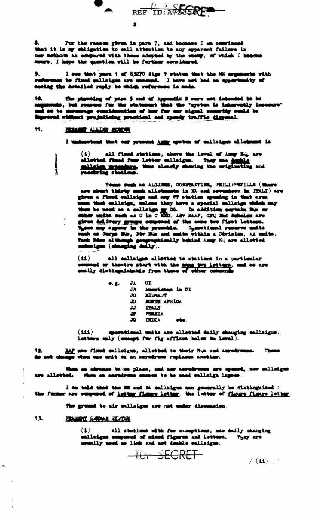

For the reason given in para 7, and because I am occational that it is my chligation to call attention to any apparent failure in car methods as compared with those adopted by the energy, of which I busons senero, I hape the question will be further cornidared.

9. I see that para  $t$  of 83270 sign  $9$  states that the Mi segments with reflection to fixed onlining are uncount. I have not hed an opportunity of secting the detailed raphy to which reference is made.

10. The planning of para 5 and of Appendix 3 were not indended to be<br>segments, but reasons for the statement that the "system is inhereally incomove"<br>and so to ensure<br>approximate consideration of her for our signal necessi ingewed vidned prejudicing prostical and spendy traffic dispensi.

## Ħ. **FRIGHT ALLTID SOUTH**

Ĩ

 $\cdot$  /

I understand that our present Auny system of callsigns allotment is

all fined stations, above the level of Amy Eq. are  $(1)$ alistical final fuer letter callsigns. They use desting and miliain acambus.<br>receiving stations.

Touse such as ALGERS, CORPERTER, PEILIPPETILE (there are short thirty such allotments in XX and sevenhern in ITALY) are giron a fixed callsign and any UT station spendag in that area nes that calleign, unless they have a special calleign which may them be used as a calledge or 10. In addition cortain Bis or other units such as 0 in 0 Mill, Adv MAP, GFQ find Scholars are given delivery groups ourpened of the ness two first letters.<br>These may appear in the presentie. Operational reserve units<br>such as Oarps His, Piv His and units vitikin a Division, At units,<br>find: Mas although geographicall

all callaigns allotted to stations in a particular  $(M)$ command or theatre start with the same buy letters, and so are easily distinguishable from these of where commands

| $\bullet$ . | JA | ПΤ                  |
|-------------|----|---------------------|
|             | JA | Americans in UI     |
|             | ĴО | <b>MIDNALLY</b>     |
|             | Д  | <b>MORTH AFRICA</b> |
|             | נב | <b>TALY</b>         |
|             | ₽  | <b>FIRSTA</b>       |
|             | æ  | DUIA<br>rte.        |
|             |    |                     |

sperational units are alletted daily sharping sallaigns.  $(M)$ letters only (energy for fig affixes below in level).

RAF use fined enlising, allotted to their His and Asrahrence. These do not change when one unit m an acredress replaces another.

hon an adramae takam place, and nor acredresse are spened, now calledges are allotted. When an acredress conten to be used callaign lapses.

I am told that the ME and Ni callaigns can generally be distinguised; the furner are emponed of lating flame lating, the latter of flame flame latter.

The ground to air callaiges are not under disensaten.

13. **FENDY AND ALL REVERS** 

 $\blacktriangle$ 

 $\mathbf{I}$ 

 $\bf{(\bullet)}$ All stations with fur exceptions, we doily changing calladges composed of mixed figures and letters. **They are** 

 $-\overline{101}$   $\rightarrow$   $\overline{ECRET}$ 

 $\angle$  (11)  $\pm$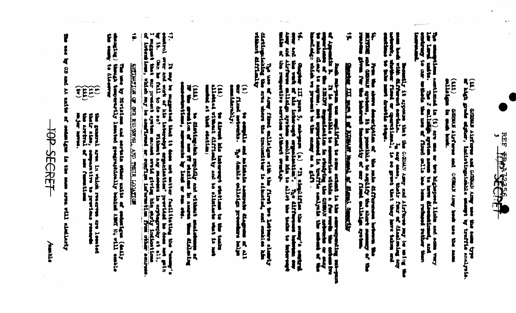

1日 Grada Archare and Gridalia Army and the same type

GERMUS Algefurne and GRORAN Army beak use the same

The computions numitioned in (1) are one or two highward links and some very<br>List last under. The 3 millight system some to have discondized, and contained, and concerning to our matches<br>increased.

Donald, it appears that contains the control of the control of the content of the content of the content of the content of the content of the content of the content of the content of the content of the content of the conte

Li.<br>Militar and discuss of the specific of the mile differences between the<br>Militar and discuss species, it is possible to acquire the short remancy of  $\begin{array}{c}\n\bullet \\
\bullet \\
\bullet \\
\bullet \\
\bullet \\
\bullet\n\end{array}$ 

## Ã Charles Long in Law Law Law Law Line Street, September 147

John Man and the sea man and interest to some entered in the corresponding sea-purse of the property of the season of the season of the season of the season of the season of the season of the season of the season of the se  $\frac{1}{2}$ 

14.<br>Sour and the waft of his intercept experiention". The difference between our low and the first property of the<br>Angle and districted onlined ayerbase samelles his to allot the teach to the<br>saids of the respective servic

The use of Army fixed eallsigns with their terms alonely<br>distingulated the area where the transmitter is signated, and could a him<br>without difficulty

(1)<br>eur filmel meinemann minnade amarenne diagonan ac all<br>eurolderably: The denkle calledge presenter halps

(11)<br>allohad wimmun his imberenya shailama te<br>allohad at the chaitme; **The Latin Re** 

 $(111)$  be distinguish providy and without small shift of the property of the property in a space of the contract of the contract of the contract of the contract of the contract of the contract of the contract of the cont **Nieriens** 

 $\ddot{ }$ 17.<br>wontrol over and work of his interesty erganisation, previded be done and gain would in the second of the second interest of the second interest of the present applies of the second interest and the second of the prese **Replace** 

 $\ddot{\bullet}$ **STEADER OF STREET AND THEIR LOGARDONES** 

**Company of the Second Second** The use by Mythisms and environ where units of enderties (daily thanged in the control of the state of the state of the state of the state of the state of the state of the state of the state of the state of the state of th

THE **The Seater of Seater** area in which reason<br>comparative to prest<br>of new functions

prettens as reader

**CONTRACTOR Report Follows** Turi with Tips

TOP SECRET

Aldereit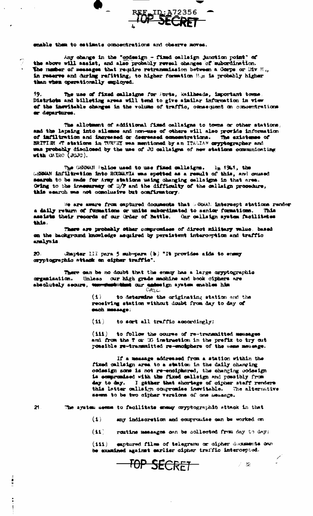

enable them to estimate concentrations and observe moves.

Any change in the "codesign - fixed callsign junction point" of the above will assist, and also probably reveal changes of subordination. The number of messages that require retransmission between a Corps or Div  $B_{ij}$ , in reserve and during refitting, to higher formation H.E is probably higher than when operationally employed.

19. The use of fixed callsigns for Ports, Railheads, important tomes. Districts and billeting areas will tend to give similar information in view of the inevitable changes in the volume of traffic, consequent on concentrations er departures.

The allotment of additional fixed callsigns to towns or other stations, and the lapsing into silemos and non-use of others will also provide information of inflitration and increased or degreesed concentrations. The existence of BRITISH AT stations in TURFEY was mentioned by an ITALIAN oxyptographer and was probably disclosed by the use of JU callsigns of new stations communionting with  $\alpha$  and  $\alpha$  ( $\beta$ GJC).

The GSRMAN Pelice used to use fixed callsigns.  $1<sub>n</sub>$  1941, the GEBMAN inflitration into ROUMANIA was spetted as a result of this, and caused search to be made for Army stations using changing callaigns in that area. Owing to the innesurery of D/F and the difficulty of the callsign procedure, this wearch was not conclusive but confirmatory.

We are aware from captured documents that GREEN intercopt stations render a daily return of furnations or units subordinated to senior formations. This assists their records of our Urder of Battle. Our callsign system facilitates this.

There are probably other compromises of direct military value, based on the hackground knowledge asquired by persistent intercoption and traffic analysis.

Chapter III para 5 sub-para (b) "It provides aids to ensuy  $20.$ cryptographic attack on cipher traffic".

There can be no doubt that the ensuy has a large cryptographic organisation. Unless our high grade machine and book ciphers are absolutely secure, the first that our enterign system enables him

> $(1)$ to determine the originating station and the receiving station without doubt from day to day of sach message:

 $(11)$ to sort all traffic accordingly;

 $(111)$ to follow the course of re-transmitted messages and from the T or DG instruction in the prefix to try out possible re-transmitted re-enciphers of the same message.

If a message addressed from a station within the fixed callsign area to a station in the daily changing codesign some is not re-enciphered, the changing codesign is compromised with the fixed callaign and possibly from day to day. I gather that shortage of oipher staff renders this latter callsion compresses inswitable. The alternative seems to be two cipher versions of one memange.

21.

÷  $\mathbf{I}$  The system seems to facilitate energy cryptographic attack in that

 $(1)$ any indiscretion and compromise can be worked on

 $(11)$ routine messages can be collected from day to day;

emptured files of telegrams or oipher dixtunents own  $(111)$ be examined against earlier cipher traffic intercepted.

 $\mathcal{P} \subset \mathfrak{D}$ 

 $\overline{\phantom{1}0}$ P SECRET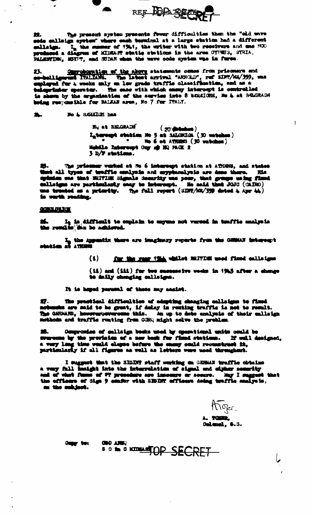

The present system presents fower difficulties then the "old wave 盆. sede callsign system" where sach terminal at a large station had a different callsign. I<sub>n</sub> the summer of 1941, the writer with two receivers and me M30 produced a diagram of MIDEANT statis stations in the area OTHES, STRIA. PALESTING, HOYPT, and SUDAR when the wave oode system was in furee.

23. Our phonolism of the above statements comes from prisoners and condulligenus Thalidah. The labout arrival "ARHOLD", ref SINT/H2/359, was belegarinter operator. The same with which ensay intercept is controlled is shown by the erganisation of the service into 8 BEREIGHS, He & at BERGHADH being responsible for BALKAW area, Ho 7 for TTALY.

 $\bullet$ No & BERETON has

A

**Hy at BELGRADE**  $(20$  distances  $)$ Intercept station No 5 at SALORICA (30 matches)  $\blacksquare$  . We 6 at ATHERS (30 vatches) Hobile Enteroupt Ony of HQ PACK 2  $3 D/T$  statime.

25. The prisoner worked at No 6 intercept station at ATHEN, and states that all types of tenffie smalysis and exyptensiyais are done there. His opinion was that HHIVISE Signals Senarity was poor, that groups using fixed ca ms trunted as a primity. The full report  $\langle$  SDF( $\land$ SV) dated  $\downarrow$  Apr  $\downarrow\downarrow$ ) to worth reading.

## **CONTRACTOR**

 $\frac{1}{2} \sum_{i=1}^{n} \frac{1}{2} \sum_{j=1}^{n} \frac{1}{2} \sum_{j=1}^{n} \frac{1}{2} \sum_{j=1}^{n} \frac{1}{2} \sum_{j=1}^{n} \frac{1}{2} \sum_{j=1}^{n} \frac{1}{2} \sum_{j=1}^{n} \frac{1}{2} \sum_{j=1}^{n} \frac{1}{2} \sum_{j=1}^{n} \frac{1}{2} \sum_{j=1}^{n} \frac{1}{2} \sum_{j=1}^{n} \frac{1}{2} \sum_{j=1}^{n} \frac{1}{2} \sum_{j=1}^{n$ 

 $26.$  Iq is difficult to explain to sugume not versed in tenffic enalge is the results in be achieved.

 $\mathcal{I}_m$  the Appendix there are imaginary reperts from the GHMAN interespt station at ATREES

for the rear time whilet BRITISH used fixed callsigns  $(1)$ 

 $(14)$  and  $(111)$  for two suspensive vecks in  $1945$  after a change to daily changing callsigns.

It is hoped paramel of these may analst.

The prestical difficulties of adspting changing callsigns to fixed Ø. networks are said to be great, if delay in resting traffic is not to result.<br>The GNRBARS, however, everyone this. An up to date analysis of their callaign methods and traffic routing from GORQ might solve the problem.

28. Ocupromise of callsign books used by operational units could be swarecome by the prevision of a new book for fixed stations. If well designed, a very long time would clapse before the onesy could reconstruct it, partic

I suggest that the SIGDIT staff working an GERMAN traffic obtains a very full insight into the interrelation of signal and eigher nearrity and of what funns of #7 procedure are inseemre or seemre. May I suggest that the officers of Sign 9 center with SEORF officers delay tendful seniors. on the subject.

ATiger. A. TOMAR, Oalanel, 6.3.

Gagy ten

**CHO ANNO** SO to a know TOP SECRET

عبا

 $\mathbf{I}$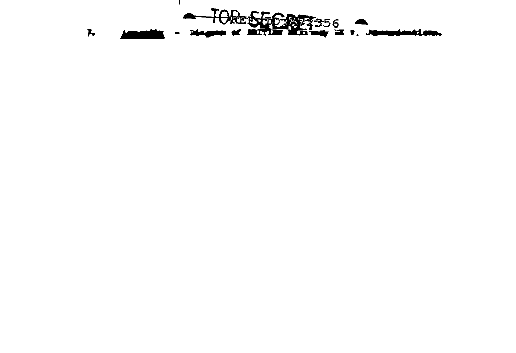

 $\sim$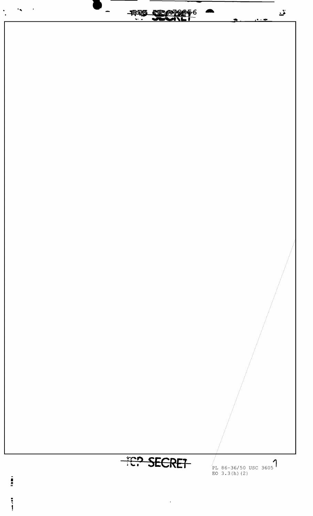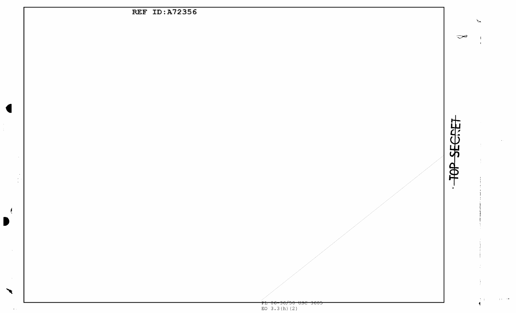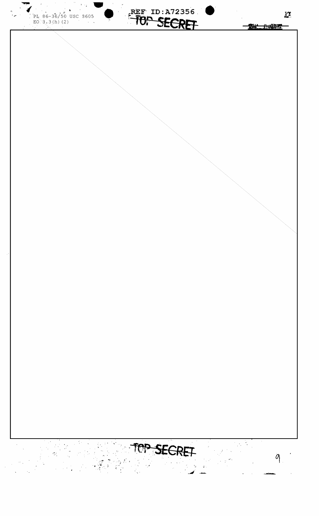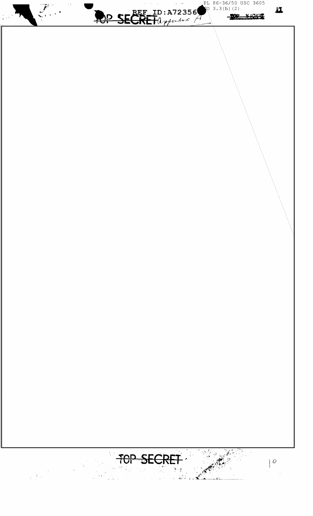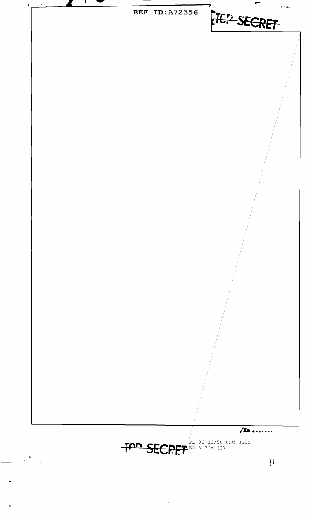